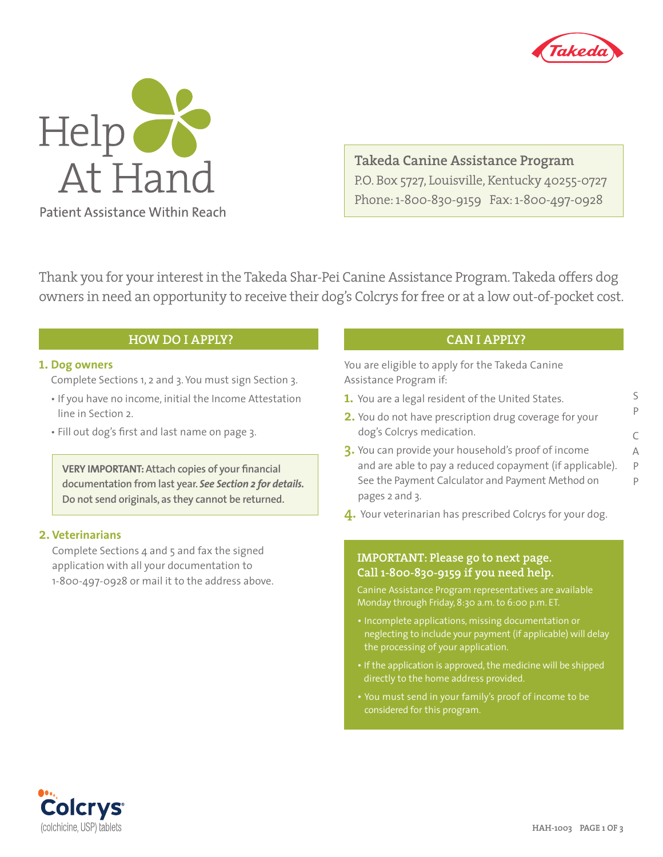

S P

C A P P



**Takeda Canine Assistance Program** P.O. Box 5727, Louisville, Kentucky 40255-0727 Phone: 1-800-830-9159 Fax: 1-800-497-0928

Thank you for your interest in the Takeda Shar-Pei Canine Assistance Program. Takeda offers dog owners in need an opportunity to receive their dog's Colcrys for free or at a low out-of-pocket cost.

## **HOW DO I APPLY?**

### **1. Dog owners**

Complete Sections 1, 2 and 3. You must sign Section 3.

- If you have no income, initial the Income Attestation line in Section 2.
- Fill out dog's first and last name on page 3.

**VERY IMPORTANT:Attach copies of your financial documentation from last year.** *See Section 2 for details.* **Do not send originals, as they cannot be returned.**

### **2. Veterinarians**

Complete Sections 4 and 5 and fax the signed application with all your documentation to 1-800-497-0928 or mail it to the address above.

# **CAN I APPLY?**

You are eligible to apply for the Takeda Canine Assistance Program if:

- **1.** You are a legal resident of the United States.
- **2.** You do not have prescription drug coverage for your dog's Colcrys medication.
- **3.** You can provide your household's proof of income and are able to pay a reduced copayment (if applicable). See the Payment Calculator and Payment Method on pages 2 and 3.
- **4.** Your veterinarian has prescribed Colcrys for your dog.

### **IMPORTANT: Please go to next page. Call 1-800-830-9159 if you need help.**

Canine Assistance Program representatives are available Monday through Friday, 8:30 a.m. to 6:00 p.m. ET.

- Incomplete applications, missing documentation or neglecting to include your payment (if applicable) will delay the processing of your application.
- If the application is approved, the medicine will be shipped
- considered for this program.

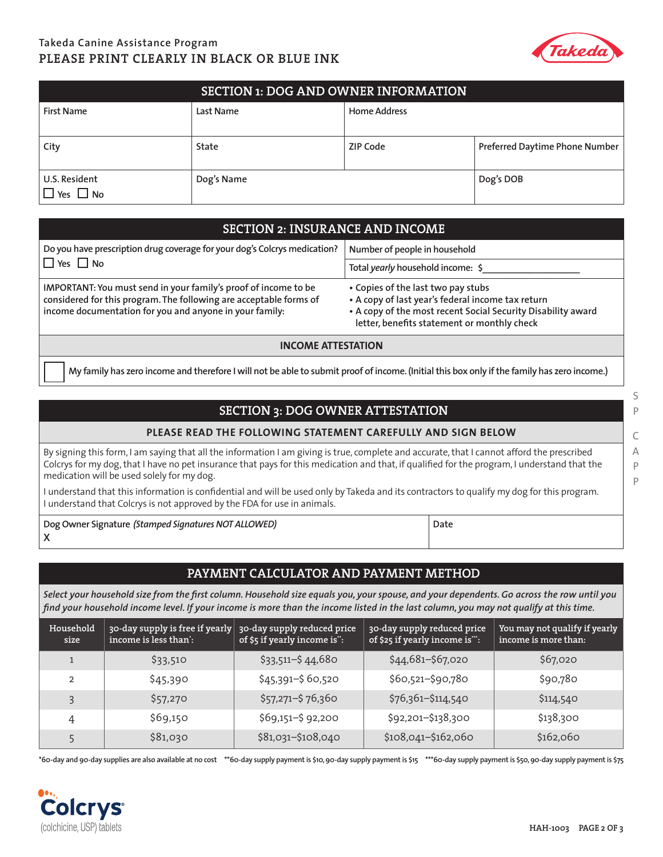# **Takeda Canine Assistance Program PLEASE PRINT CLEARLY IN BLACK OR BLUE INK**



| <b>SECTION 1: DOG AND OWNER INFORMATION</b> |            |                     |                                |  |
|---------------------------------------------|------------|---------------------|--------------------------------|--|
| <b>First Name</b>                           | Last Name  | <b>Home Address</b> |                                |  |
| City                                        | State      | ZIP Code            | Preferred Daytime Phone Number |  |
| U.S. Resident<br>$\square$ Yes $\square$ No | Dog's Name |                     | Dog's DOB                      |  |

## **SECTION 2: INSURANCE AND INCOME**

| Do you have prescription drug coverage for your dog's Colcrys medication?                                                                                                                        | Number of people in household                                                                                                                                                                          |  |
|--------------------------------------------------------------------------------------------------------------------------------------------------------------------------------------------------|--------------------------------------------------------------------------------------------------------------------------------------------------------------------------------------------------------|--|
| $\Box$ Yes $\Box$ No                                                                                                                                                                             | Total yearly household income: \$                                                                                                                                                                      |  |
| IMPORTANT: You must send in your family's proof of income to be<br>considered for this program. The following are acceptable forms of<br>income documentation for you and anyone in your family: | • Copies of the last two pay stubs<br>• A copy of last year's federal income tax return<br>• A copy of the most recent Social Security Disability award<br>letter, benefits statement or monthly check |  |

#### **INCOME ATTESTATION**

**My family has zero income and therefore I will not be able to submit proof of income. (Initial this box only if the family has zero income.)**

## **SECTION 3: DOG OWNER ATTESTATION**

#### **PLEASE READ THE FOLLOWING STATEMENT CAREFULLY AND SIGN BELOW**

By signing this form, I am saying that all the information I am giving is true, complete and accurate, that I cannot afford the prescribed Colcrys for my dog, that I have no pet insurance that pays for this medication and that, if qualified for the program, I understand that the medication will be used solely for my dog.

I understand that this information is confidential and will be used only by Takeda and its contractors to qualify my dog for this program. I understand that Colcrys is not approved by the FDA for use in animals.

**Dog Owner Signature** *(Stamped Signatures NOT ALLOWED)* **X**

### **PAYMENT CALCULATOR AND PAYMENT METHOD**

**Date**

*Select your household size from the first column. Household size equals you, your spouse, and your dependents. Go across the row until you find your household income level. If your income is more than the income listed in the last column, you may not qualify at this time.*

| Household<br>size | $\frac{1}{2}$ 30-day supply is free if yearly $\frac{1}{2}$ 30-day supply reduced price<br>income is less than: | of \$5 if yearly income is": | 30-day supply reduced price<br>of \$25 if yearly income is": | You may not qualify if yearly<br>income is more than: |
|-------------------|-----------------------------------------------------------------------------------------------------------------|------------------------------|--------------------------------------------------------------|-------------------------------------------------------|
|                   | \$33,510                                                                                                        | $$33,511 - $44,680$          | \$44,681-\$67,020                                            | \$67,020                                              |
| $\overline{2}$    | \$45,390                                                                                                        | $$45,391 - $60,520$          | \$60,521-\$90,780                                            | \$90,780                                              |
| $\overline{3}$    | \$57,270                                                                                                        | $$57,271 - $76,360$          | \$76,361-\$114,540                                           | \$114,540                                             |
| 4                 | \$69,150                                                                                                        | \$69,151-\$92,200            | \$92,201-\$138,300                                           | \$138,300                                             |
|                   | \$81,030                                                                                                        | \$81,031-\$108,040           | \$108,041-\$162,060                                          | \$162,060                                             |

 **\*60-day and 90-day supplies are also available at no cost \*\*60-day supply payment is \$10, 90-day supply payment is \$15 \*\*\*60-day supply payment is \$50, 90-day supply payment is \$75**



S